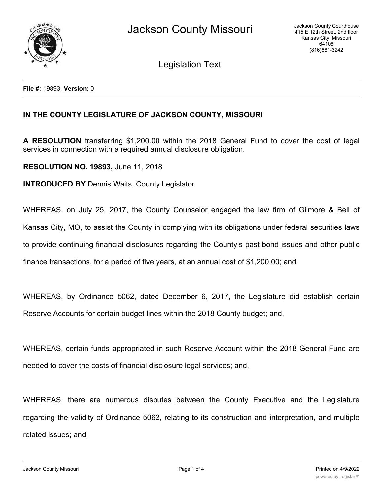

Legislation Text

## **IN THE COUNTY LEGISLATURE OF JACKSON COUNTY, MISSOURI**

**A RESOLUTION** transferring \$1,200.00 within the 2018 General Fund to cover the cost of legal services in connection with a required annual disclosure obligation.

**RESOLUTION NO. 19893,** June 11, 2018

**INTRODUCED BY** Dennis Waits, County Legislator

WHEREAS, on July 25, 2017, the County Counselor engaged the law firm of Gilmore & Bell of Kansas City, MO, to assist the County in complying with its obligations under federal securities laws to provide continuing financial disclosures regarding the County's past bond issues and other public finance transactions, for a period of five years, at an annual cost of \$1,200.00; and,

WHEREAS, by Ordinance 5062, dated December 6, 2017, the Legislature did establish certain Reserve Accounts for certain budget lines within the 2018 County budget; and,

WHEREAS, certain funds appropriated in such Reserve Account within the 2018 General Fund are needed to cover the costs of financial disclosure legal services; and,

WHEREAS, there are numerous disputes between the County Executive and the Legislature regarding the validity of Ordinance 5062, relating to its construction and interpretation, and multiple related issues; and,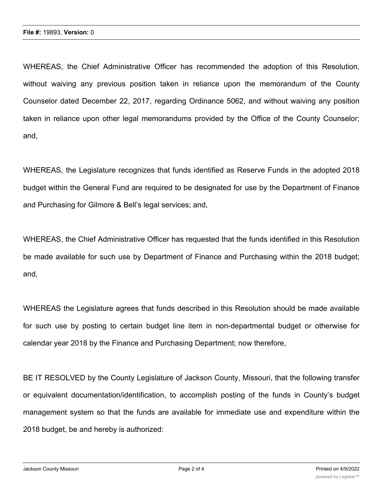WHEREAS, the Chief Administrative Officer has recommended the adoption of this Resolution, without waiving any previous position taken in reliance upon the memorandum of the County Counselor dated December 22, 2017, regarding Ordinance 5062, and without waiving any position taken in reliance upon other legal memorandums provided by the Office of the County Counselor; and,

WHEREAS, the Legislature recognizes that funds identified as Reserve Funds in the adopted 2018 budget within the General Fund are required to be designated for use by the Department of Finance and Purchasing for Gilmore & Bell's legal services; and,

WHEREAS, the Chief Administrative Officer has requested that the funds identified in this Resolution be made available for such use by Department of Finance and Purchasing within the 2018 budget; and,

WHEREAS the Legislature agrees that funds described in this Resolution should be made available for such use by posting to certain budget line item in non-departmental budget or otherwise for calendar year 2018 by the Finance and Purchasing Department; now therefore,

BE IT RESOLVED by the County Legislature of Jackson County, Missouri, that the following transfer or equivalent documentation/identification, to accomplish posting of the funds in County's budget management system so that the funds are available for immediate use and expenditure within the 2018 budget, be and hereby is authorized: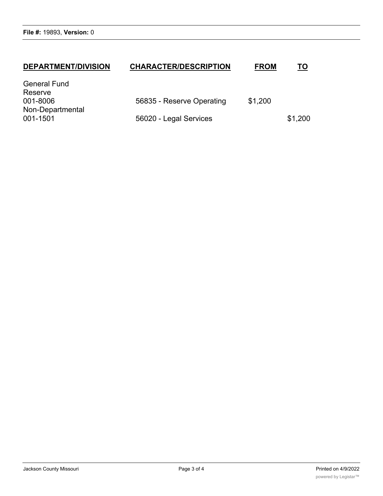## **DEPARTMENT/DIVISION CHARACTER/DESCRIPTION FROM TO** General Fund

| \$1,200 |
|---------|
|         |